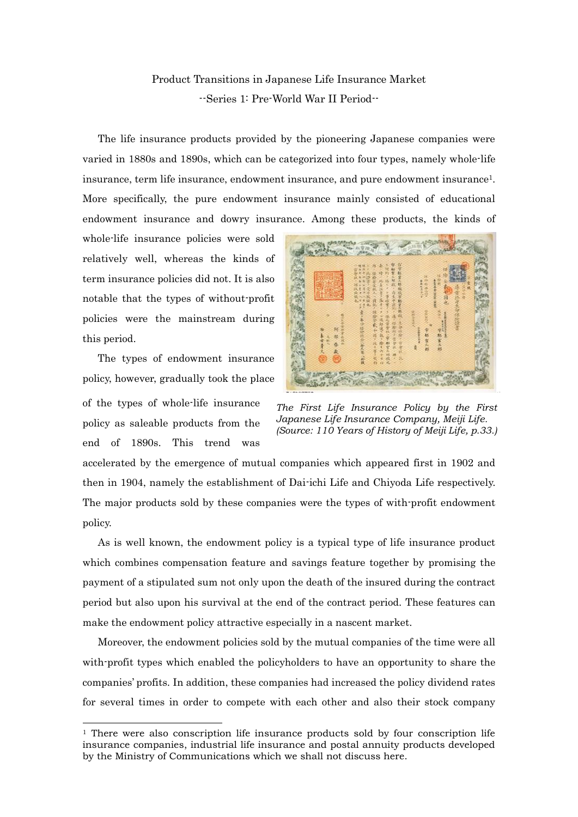## Product Transitions in Japanese Life Insurance Market --Series 1: Pre-World War II Period--

The life insurance products provided by the pioneering Japanese companies were varied in 1880s and 1890s, which can be categorized into four types, namely whole-life insurance, term life insurance, endowment insurance, and pure endowment insurance1. More specifically, the pure endowment insurance mainly consisted of educational endowment insurance and dowry insurance. Among these products, the kinds of

whole-life insurance policies were sold relatively well, whereas the kinds of term insurance policies did not. It is also notable that the types of without-profit policies were the mainstream during this period.

 The types of endowment insurance policy, however, gradually took the place of the types of whole-life insurance policy as saleable products from the

end of 1890s. This trend was

-



*The First Life Insurance Policy by the First Japanese Life Insurance Company, Meiji Life. (Source: 110 Years of History of Meiji Life, p.33.)*

accelerated by the emergence of mutual companies which appeared first in 1902 and then in 1904, namely the establishment of Dai-ichi Life and Chiyoda Life respectively. The major products sold by these companies were the types of with-profit endowment policy.

As is well known, the endowment policy is a typical type of life insurance product which combines compensation feature and savings feature together by promising the payment of a stipulated sum not only upon the death of the insured during the contract period but also upon his survival at the end of the contract period. These features can make the endowment policy attractive especially in a nascent market.

Moreover, the endowment policies sold by the mutual companies of the time were all with-profit types which enabled the policyholders to have an opportunity to share the companies' profits. In addition, these companies had increased the policy dividend rates for several times in order to compete with each other and also their stock company

 $1$  There were also conscription life insurance products sold by four conscription life insurance companies, industrial life insurance and postal annuity products developed by the Ministry of Communications which we shall not discuss here.